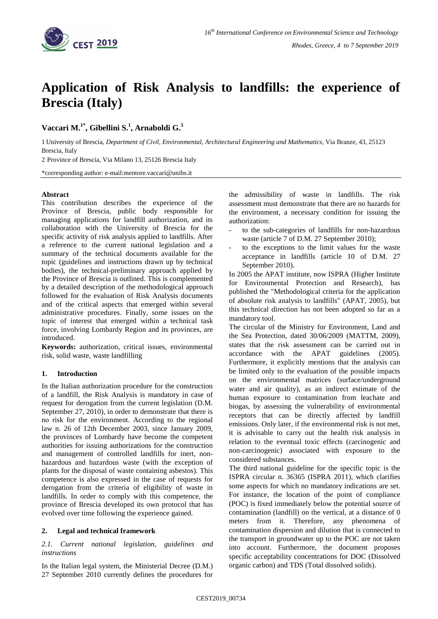

# **Application of Risk Analysis to landfills: the experience of Brescia (Italy)**

**Vaccari M. 1\* , Gibellini S.<sup>1</sup> , Arnaboldi G. 3** 

1 University of Brescia, *Department of Civil, Environmental, Architectural Engineering and Mathematics*, Via Branze, 43, 25123 Brescia, Italy

2 Province of Brescia, Via Milano 13, 25126 Brescia Italy

\*corresponding author: e-mail:mentore.vaccari@unibs.it

## **Abstract**

This contribution describes the experience of the Province of Brescia, public body responsible for managing applications for landfill authorization, and its collaboration with the University of Brescia for the specific activity of risk analysis applied to landfills. After a reference to the current national legislation and a summary of the technical documents available for the topic (guidelines and instructions drawn up by technical bodies), the technical-preliminary approach applied by the Province of Brescia is outlined. This is complemented by a detailed description of the methodological approach followed for the evaluation of Risk Analysis documents and of the critical aspects that emerged within several administrative procedures. Finally, some issues on the topic of interest that emerged within a technical task force, involving Lombardy Region and its provinces, are introduced.

**Keywords:** authorization, critical issues, environmental risk, solid waste, waste landfilling

# **1. Introduction**

In the Italian authorization procedure for the construction of a landfill, the Risk Analysis is mandatory in case of request for derogation from the current legislation (D.M. September 27, 2010), in order to demonstrate that there is no risk for the environment. According to the regional law n. 26 of 12th December 2003, since January 2009, the provinces of Lombardy have become the competent authorities for issuing authorizations for the construction and management of controlled landfills for inert, nonhazardous and hazardous waste (with the exception of plants for the disposal of waste containing asbestos). This competence is also expressed in the case of requests for derogation from the criteria of eligibility of waste in landfills. In order to comply with this competence, the province of Brescia developed its own protocol that has evolved over time following the experience gained.

# **2. Legal and technical framework**

*2.1. Current national legislation, guidelines and instructions*

In the Italian legal system, the Ministerial Decree (D.M.) 27 September 2010 currently defines the procedures for the admissibility of waste in landfills. The risk assessment must demonstrate that there are no hazards for the environment, a necessary condition for issuing the authorization:

- to the sub-categories of landfills for non-hazardous waste (article 7 of D.M. 27 September 2010);
- to the exceptions to the limit values for the waste acceptance in landfills (article 10 of D.M. 27 September 2010).

In 2005 the APAT institute, now ISPRA (Higher Institute for Environmental Protection and Research), has published the "Methodological criteria for the application of absolute risk analysis to landfills" (APAT, 2005), but this technical direction has not been adopted so far as a mandatory tool.

The circular of the Ministry for Environment, Land and the Sea Protection, dated 30/06/2009 (MATTM, 2009), states that the risk assessment can be carried out in accordance with the APAT guidelines (2005). Furthermore, it explicitly mentions that the analysis can be limited only to the evaluation of the possible impacts on the environmental matrices (surface/underground water and air quality), as an indirect estimate of the human exposure to contamination from leachate and biogas, by assessing the vulnerability of environmental receptors that can be directly affected by landfill emissions. Only later, if the environmental risk is not met, it is advisable to carry out the health risk analysis in relation to the eventual toxic effects (carcinogenic and non-carcinogenic) associated with exposure to the considered substances.

The third national guideline for the specific topic is the ISPRA circular n. 36365 (ISPRA 2011), which clarifies some aspects for which no mandatory indications are set. For instance, the location of the point of compliance (POC) is fixed immediately below the potential source of contamination (landfill) on the vertical, at a distance of 0 meters from it. Therefore, any phenomena of contamination dispersion and dilution that is connected to the transport in groundwater up to the POC are not taken into account. Furthermore, the document proposes specific acceptability concentrations for DOC (Dissolved organic carbon) and TDS (Total dissolved solids).